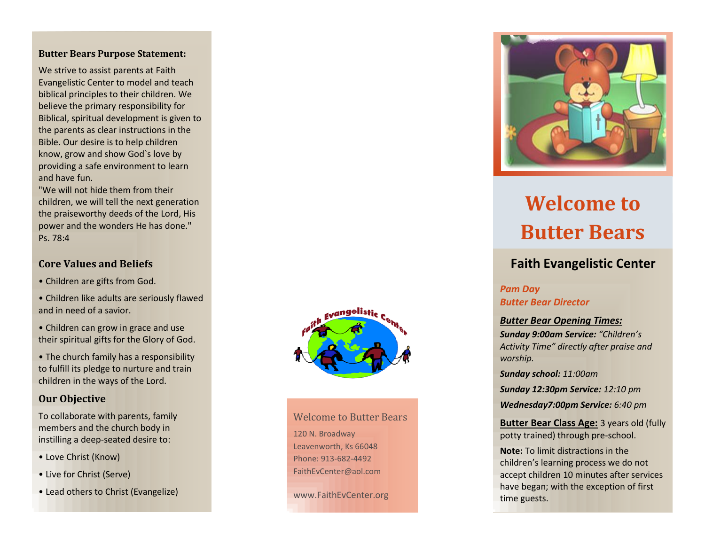#### **Butter Bears Purpose Statement:**

We strive to assist parents at Faith Evangelistic Center to model and teach biblical principles to their children. We believe the primary responsibility for Biblical, spiritual development is given to the parents as clear instructions in the Bible. Our desire is to help children know, grow and show God`s love by providing a safe environment to learn and have fun.

"We will not hide them from their children, we will tell the next generation the praiseworthy deeds of the Lord, His power and the wonders He has done." Ps. 78:4

#### **Core Values and Beliefs**

- Children are gifts from God.
- Children like adults are seriously flawed and in need of a savior.
- Children can grow in grace and use their spiritual gifts for the Glory of God.
- The church family has a responsibility to fulfill its pledge to nurture and train children in the ways of the Lord.

### **Our Objective**

To collaborate with parents, family members and the church body in instilling a deep -seated desire to:

- Love Christ (Know)
- Live for Christ (Serve)
- Lead others to Christ (Evangelize)



## Welcome to Butter Bears 120 N. Broadway Leavenworth, Ks 66048 Phone: 913 -682 -4492 FaithEvCenter@aol.com

www.FaithEvCenter.org



# **Welcome to Butter Bears**

# **Faith Evangelistic Center**

#### *Pam Day Butter Bear Director*

#### *Butter Bear Opening Times:*

*Sunday 9:00am Service: "Children's Activity Time" directly after praise and worship.*

*Sunday school: 11:00am*

*Sunday 12 :30pm Service: 12:10 pm*

*Wednesday 7:00pm Service: 6:40 pm*

### **Butter Bear Class Age:** 3 years old (fully potty trained) through pre -school.

**Note:** To limit distractions in the children's learning process we do not accept children 10 minutes after services have began; with the exception of first time guests.